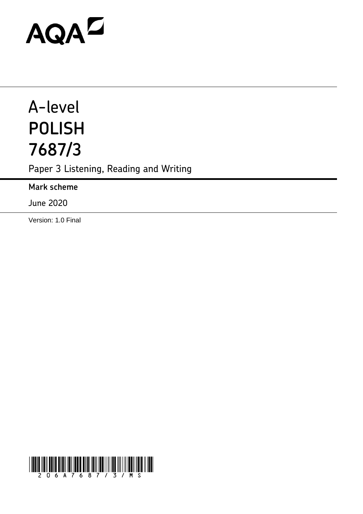# **AQAZ**

# A-level **POLISH 7687/3**

Paper 3 Listening, Reading and Writing

**Mark scheme**

June 2020

Version: 1.0 Final

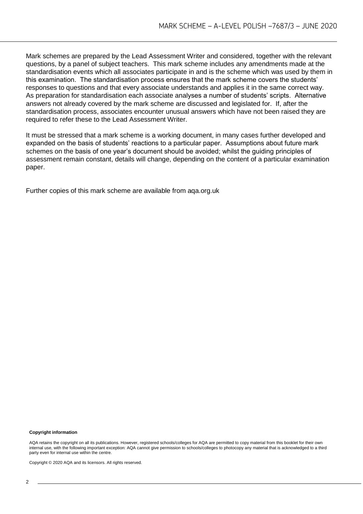Mark schemes are prepared by the Lead Assessment Writer and considered, together with the relevant questions, by a panel of subject teachers. This mark scheme includes any amendments made at the standardisation events which all associates participate in and is the scheme which was used by them in this examination. The standardisation process ensures that the mark scheme covers the students' responses to questions and that every associate understands and applies it in the same correct way. As preparation for standardisation each associate analyses a number of students' scripts. Alternative answers not already covered by the mark scheme are discussed and legislated for. If, after the standardisation process, associates encounter unusual answers which have not been raised they are required to refer these to the Lead Assessment Writer.

It must be stressed that a mark scheme is a working document, in many cases further developed and expanded on the basis of students' reactions to a particular paper. Assumptions about future mark schemes on the basis of one year's document should be avoided; whilst the guiding principles of assessment remain constant, details will change, depending on the content of a particular examination paper.

Further copies of this mark scheme are available from aqa.org.uk

#### **Copyright information**

AQA retains the copyright on all its publications. However, registered schools/colleges for AQA are permitted to copy material from this booklet for their own internal use, with the following important exception: AQA cannot give permission to schools/colleges to photocopy any material that is acknowledged to a third party even for internal use within the centre.

Copyright © 2020 AQA and its licensors. All rights reserved.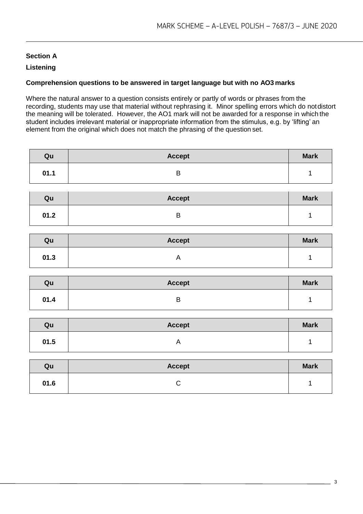# **Section A**

# **Listening**

# **Comprehension questions to be answered in target language but with no AO3 marks**

Where the natural answer to a question consists entirely or partly of words or phrases from the recording, students may use that material without rephrasing it. Minor spelling errors which do notdistort the meaning will be tolerated. However, the AO1 mark will not be awarded for a response in which the student includes irrelevant material or inappropriate information from the stimulus, e.g. by 'lifting' an element from the original which does not match the phrasing of the question set.

| Qu   | <b>Accept</b>             | <b>Mark</b> |
|------|---------------------------|-------------|
| 01.1 | $\sf B$                   | 1           |
|      |                           |             |
| Qu   | <b>Accept</b>             | <b>Mark</b> |
| 01.2 | $\sf B$                   | 1           |
|      |                           |             |
| Qu   | <b>Accept</b>             | <b>Mark</b> |
| 01.3 | $\boldsymbol{\mathsf{A}}$ | $\mathbf 1$ |
|      |                           |             |
|      |                           |             |
| Qu   | <b>Accept</b>             | <b>Mark</b> |
| 01.4 | $\sf B$                   | $\mathbf 1$ |
|      |                           |             |
| Qu   | <b>Accept</b>             | <b>Mark</b> |
| 01.5 | $\boldsymbol{\mathsf{A}}$ | 1           |
|      |                           |             |
| Qu   | <b>Accept</b>             | <b>Mark</b> |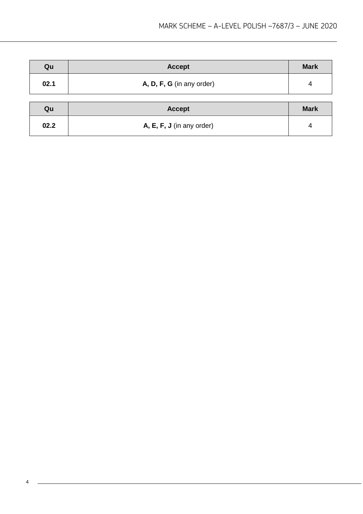| Qu   | <b>Accept</b>               | <b>Mark</b> |
|------|-----------------------------|-------------|
| 02.1 | A, D, F, G (in any order)   | 4           |
| Qu   | <b>Accept</b>               | <b>Mark</b> |
| 02.2 | $A, E, F, J$ (in any order) | 4           |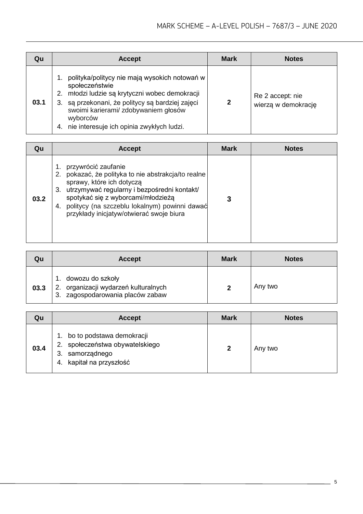| Qu   | <b>Accept</b>                                                                                                                                                                                                                                                                   | <b>Mark</b>  | <b>Notes</b>                            |
|------|---------------------------------------------------------------------------------------------------------------------------------------------------------------------------------------------------------------------------------------------------------------------------------|--------------|-----------------------------------------|
| 03.1 | polityka/politycy nie mają wysokich notowań w<br>społeczeństwie<br>młodzi ludzie są krytyczni wobec demokracji<br>2.<br>3. są przekonani, że politycy są bardziej zajęci<br>swoimi karierami/ zdobywaniem głosów<br>wyborców<br>nie interesuje ich opinia zwykłych ludzi.<br>4. | $\mathbf{2}$ | Re 2 accept: nie<br>wierzą w demokrację |

| Qu   | <b>Accept</b>                                                                                                                                                                                                                                                                                      | Mark | <b>Notes</b> |
|------|----------------------------------------------------------------------------------------------------------------------------------------------------------------------------------------------------------------------------------------------------------------------------------------------------|------|--------------|
| 03.2 | przywrócić zaufanie<br>pokazać, że polityka to nie abstrakcja/to realne<br>sprawy, które ich dotyczą<br>utrzymywać regularny i bezpośredni kontakt/<br>3.<br>spotykać się z wyborcami/młodzieżą<br>politycy (na szczeblu lokalnym) powinni dawać<br>4.<br>przykłady inicjatyw/otwierać swoje biura |      |              |

| Qu   | <b>Accept</b>                                                                                   | <b>Mark</b> | <b>Notes</b> |
|------|-------------------------------------------------------------------------------------------------|-------------|--------------|
| 03.3 | 1. dowozu do szkoły<br>2. organizacji wydarzeń kulturalnych<br>3. zagospodarowania placów zabaw |             | Any two      |

| Qu   | <b>Accept</b>                                                                                                     | <b>Mark</b>  | <b>Notes</b> |
|------|-------------------------------------------------------------------------------------------------------------------|--------------|--------------|
| 03.4 | bo to podstawa demokracji<br>społeczeństwa obywatelskiego<br>2.<br>samorządnego<br>3.<br>4. kapitał na przyszłość | $\mathbf{2}$ | Any two      |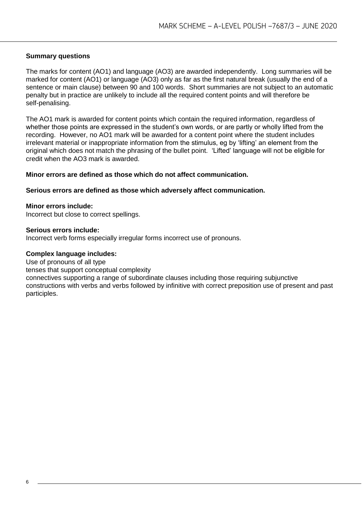# **Summary questions**

The marks for content (AO1) and language (AO3) are awarded independently. Long summaries will be marked for content (AO1) or language (AO3) only as far as the first natural break (usually the end of a sentence or main clause) between 90 and 100 words. Short summaries are not subject to an automatic penalty but in practice are unlikely to include all the required content points and will therefore be self-penalising.

The AO1 mark is awarded for content points which contain the required information, regardless of whether those points are expressed in the student's own words, or are partly or wholly lifted from the recording. However, no AO1 mark will be awarded for a content point where the student includes irrelevant material or inappropriate information from the stimulus, eg by 'lifting' an element from the original which does not match the phrasing of the bullet point. 'Lifted' language will not be eligible for credit when the AO3 mark is awarded.

# **Minor errors are defined as those which do not affect communication.**

#### **Serious errors are defined as those which adversely affect communication.**

#### **Minor errors include:**

Incorrect but close to correct spellings.

#### **Serious errors include:**

Incorrect verb forms especially irregular forms incorrect use of pronouns.

#### **Complex language includes:**

Use of pronouns of all type

tenses that support conceptual complexity

connectives supporting a range of subordinate clauses including those requiring subjunctive constructions with verbs and verbs followed by infinitive with correct preposition use of present and past participles.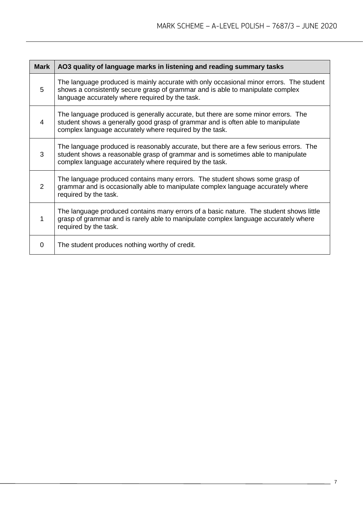| <b>Mark</b>    | AO3 quality of language marks in listening and reading summary tasks                                                                                                                                                                |
|----------------|-------------------------------------------------------------------------------------------------------------------------------------------------------------------------------------------------------------------------------------|
| 5              | The language produced is mainly accurate with only occasional minor errors. The student<br>shows a consistently secure grasp of grammar and is able to manipulate complex<br>language accurately where required by the task.        |
| 4              | The language produced is generally accurate, but there are some minor errors. The<br>student shows a generally good grasp of grammar and is often able to manipulate<br>complex language accurately where required by the task.     |
| 3              | The language produced is reasonably accurate, but there are a few serious errors. The<br>student shows a reasonable grasp of grammar and is sometimes able to manipulate<br>complex language accurately where required by the task. |
| $\overline{2}$ | The language produced contains many errors. The student shows some grasp of<br>grammar and is occasionally able to manipulate complex language accurately where<br>required by the task.                                            |
| 1              | The language produced contains many errors of a basic nature. The student shows little<br>grasp of grammar and is rarely able to manipulate complex language accurately where<br>required by the task.                              |
| $\Omega$       | The student produces nothing worthy of credit.                                                                                                                                                                                      |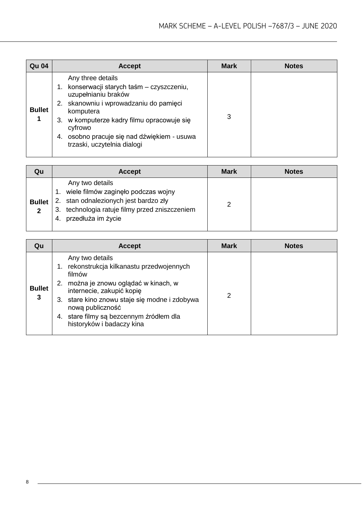| <b>Qu 04</b>  | <b>Accept</b>                                                                                                                                                                                                                                                                     | <b>Mark</b> | <b>Notes</b> |
|---------------|-----------------------------------------------------------------------------------------------------------------------------------------------------------------------------------------------------------------------------------------------------------------------------------|-------------|--------------|
| <b>Bullet</b> | Any three details<br>konserwacji starych taśm – czyszczeniu,<br>uzupełnianiu braków<br>skanowniu i wprowadzaniu do pamięci<br>komputera<br>3. w komputerze kadry filmu opracowuje się<br>cyfrowo<br>osobno pracuje się nad dźwiękiem - usuwa<br>4.<br>trzaski, uczytelnia dialogi | 3           |              |

| Qu                           | <b>Accept</b>                                                                                                                                                                 | <b>Mark</b> | <b>Notes</b> |
|------------------------------|-------------------------------------------------------------------------------------------------------------------------------------------------------------------------------|-------------|--------------|
| <b>Bullet</b><br>$\mathbf 2$ | Any two details<br>wiele filmów zaginęło podczas wojny<br>2. stan odnalezionych jest bardzo zły<br>3. technologia ratuje filmy przed zniszczeniem<br>przedłuża im życie<br>4. |             |              |

| Qu                 | <b>Accept</b>                                                                                                                                                                                                                                                                              | <b>Mark</b> | <b>Notes</b> |
|--------------------|--------------------------------------------------------------------------------------------------------------------------------------------------------------------------------------------------------------------------------------------------------------------------------------------|-------------|--------------|
| <b>Bullet</b><br>3 | Any two details<br>rekonstrukcja kilkanastu przedwojennych<br>filmów<br>można je znowu oglądać w kinach, w<br>2.<br>internecie, zakupić kopię<br>3. stare kino znowu staje się modne i zdobywa<br>nową publiczność<br>4. stare filmy są bezcennym źródłem dla<br>historyków i badaczy kina | 2           |              |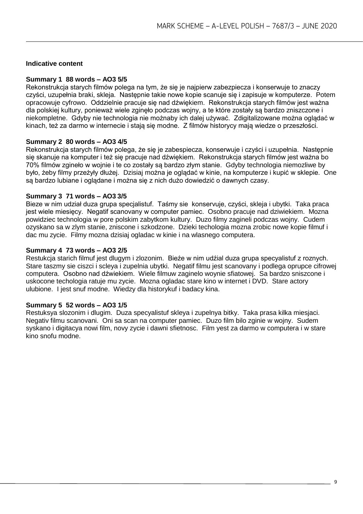# **Indicative content**

#### **Summary 1 88 words – AO3 5/5**

Rekonstrukcja starych filmów polega na tym, że się je najpierw zabezpiecza i konserwuje to znaczy czyści, uzupełnia braki, skleja. Następnie takie nowe kopie scanuje się i zapisuje w komputerze. Potem opracowuje cyfrowo. Oddzielnie pracuje się nad dźwiękiem. Rekonstrukcja starych filmów jest ważna dla polskiej kultury, ponieważ wiele zginęło podczas wojny, a te które zostały są bardzo zniszczone i niekompletne. Gdyby nie technologia nie możnaby ich dalej używać. Zdigitalizowane można oglądać w kinach, też za darmo w internecie i stają się modne. Z filmów historycy mają wiedze o przeszłości.

#### **Summary 2 80 words – AO3 4/5**

Rekonstrukcja starych filmów polega, że się je zabespiecza, konserwuje i czyści i uzupełnia. Następnie się skanuje na komputer i też się pracuje nad dźwiękiem. Rekonstrukcja starych filmów jest ważna bo 70% filmów zgineło w wojnie i te co zostały są bardzo złym stanie. Gdyby technologia niemozliwe by było, żeby filmy przeżyły dłużej. Dzisiaj można je oglądać w kinie, na komputerze i kupić w sklepie. One są bardzo lubiane i oglądane i można się z nich dużo dowiedzić o dawnych czasy.

#### **Summary 3 71 words – AO3 3/5**

Bieze w nim udział duza grupa specjalistuf. Taśmy sie konservuje, czyści, skleja i ubytki. Taka praca jest wiele miesięcy. Negatif scanovany w computer pamiec. Osobno pracuje nad dziwiekiem. Mozna powidziec technologia w pore polskim zabytkom kultury. Duzo filmy zagineli podczas wojny. Cudem ozyskano sa w zlym stanie, zniscone i szkodzone. Dzieki techologia mozna zrobic nowe kopie filmuf i dac mu zycie. Filmy mozna dzisiaj ogladac w kinie i na wlasnego computera.

#### **Summary 4 73 words – AO3 2/5**

Restukcja starich filmuf jest dlugym i zlozonim. Bieźe w nim udźial duza grupa specyalistuf z roznych. Stare taszmy sie ciszci i scleya i zupelnia ubytki. Negatif filmu jest scanovany i podlega oprupce cifrowej computera. Osobno nad dźwiekiem. Wiele filmuw zaginelo woynie sfiatowej. Sa bardzo sniszcone i uskocone techologia ratuje mu zycie. Mozna ogladac stare kino w internet i DVD. Stare actory ulubione. I jest snuf modne. Wiedzy dla historykuf i badacy kina.

#### **Summary 5 52 words – AO3 1/5**

Restuksya slozonim i dlugim. Duza specyalistuf skleya i zupelnya bitky. Taka prasa kilka miesjaci. Negativ filmu scanovani. Oni sa scan na computer pamiec. Duzo film bilo zginie w wojny. Sudem syskano i digitacya nowi film, novy zycie i dawni sfietnosc. Film yest za darmo w computera i w stare kino snofu modne.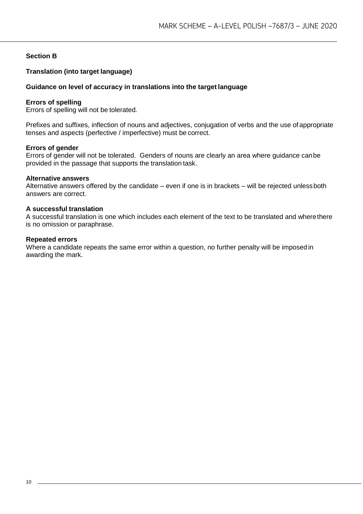# **Section B**

# **Translation (into target language)**

# **Guidance on level of accuracy in translations into the target language**

#### **Errors of spelling**

Errors of spelling will not be tolerated.

Prefixes and suffixes, inflection of nouns and adjectives, conjugation of verbs and the use of appropriate tenses and aspects (perfective / imperfective) must be correct.

#### **Errors of gender**

Errors of gender will not be tolerated. Genders of nouns are clearly an area where guidance canbe provided in the passage that supports the translation task.

#### **Alternative answers**

Alternative answers offered by the candidate – even if one is in brackets – will be rejected unlessboth answers are correct.

#### **A successful translation**

A successful translation is one which includes each element of the text to be translated and wherethere is no omission or paraphrase.

#### **Repeated errors**

Where a candidate repeats the same error within a question, no further penalty will be imposed in awarding the mark.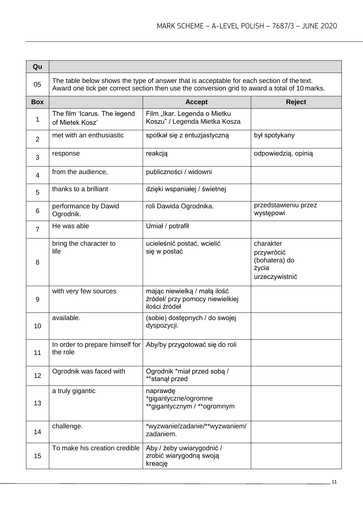| Qu             |                                                                                                                                                                                            |                                                                                  |                                                                     |
|----------------|--------------------------------------------------------------------------------------------------------------------------------------------------------------------------------------------|----------------------------------------------------------------------------------|---------------------------------------------------------------------|
| 05             | The table below shows the type of answer that is acceptable for each section of the text.<br>Award one tick per correct section then use the conversion grid to award a total of 10 marks. |                                                                                  |                                                                     |
| <b>Box</b>     |                                                                                                                                                                                            | <b>Accept</b>                                                                    | <b>Reject</b>                                                       |
| 1              | The film 'Icarus. The legend<br>of Mietek Kosz'                                                                                                                                            | Film "Ikar. Legenda o Mietku<br>Koszu" / Legenda Mietka Kosza                    |                                                                     |
| $\overline{2}$ | met with an enthusiastic                                                                                                                                                                   | spotkał się z entuzjastyczną                                                     | był spotykany                                                       |
| 3              | response                                                                                                                                                                                   | reakcją                                                                          | odpowiedzią, opinią                                                 |
| 4              | from the audience,                                                                                                                                                                         | publiczności / widowni                                                           |                                                                     |
| 5              | thanks to a brilliant                                                                                                                                                                      | dzięki wspaniałej / świetnej                                                     |                                                                     |
| 6              | performance by Dawid<br>Ogrodnik.                                                                                                                                                          | roli Dawida Ogrodnika.                                                           | przedstawieniu przez<br>występowi                                   |
| $\overline{7}$ | He was able                                                                                                                                                                                | Umiał / potrafił                                                                 |                                                                     |
| 8              | bring the character to<br>life                                                                                                                                                             | ucieleśnić postać, wcielić<br>się w postać                                       | charakter<br>przywrócić<br>(bohatera) do<br>życia<br>urzeczywistnić |
| 9              | with very few sources                                                                                                                                                                      | mając niewielką / małą ilość<br>źródeł/ przy pomocy niewielkiej<br>ilości źródeł |                                                                     |
| 10             | available.                                                                                                                                                                                 | (sobie) dostępnych / do swojej<br>dyspozycji.                                    |                                                                     |
| 11             | the role                                                                                                                                                                                   | In order to prepare himself for   Aby/by przygotować się do roli                 |                                                                     |
| 12             | Ogrodnik was faced with                                                                                                                                                                    | Ogrodnik *miał przed sobą /<br>**stanął przed                                    |                                                                     |
| 13             | a truly gigantic                                                                                                                                                                           | naprawde<br>*gigantyczne/ogromne<br>**gigantycznym / **ogromnym                  |                                                                     |
| 14             | challenge.                                                                                                                                                                                 | *wyzwanie/zadanie/**wyzwaniem/<br>zadaniem.                                      |                                                                     |
| 15             | To make his creation credible                                                                                                                                                              | Aby / żeby uwiarygodnić /<br>zrobić wiarygodną swoją<br>kreację                  |                                                                     |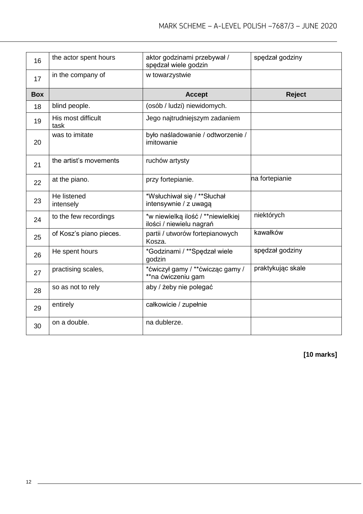| 16         | the actor spent hours      | aktor godzinami przebywał /<br>spędzał wiele godzin            | spedzał godziny   |
|------------|----------------------------|----------------------------------------------------------------|-------------------|
| 17         | in the company of          | w towarzystwie                                                 |                   |
| <b>Box</b> |                            | <b>Accept</b>                                                  | <b>Reject</b>     |
| 18         | blind people.              | (osób / ludzi) niewidomych.                                    |                   |
| 19         | His most difficult<br>task | Jego najtrudniejszym zadaniem                                  |                   |
| 20         | was to imitate             | było naśladowanie / odtworzenie /<br>imitowanie                |                   |
| 21         | the artist's movements     | ruchów artysty                                                 |                   |
| 22         | at the piano.              | przy fortepianie.                                              | na fortepianie    |
| 23         | He listened<br>intensely   | *Wsłuchiwał się / **Słuchał<br>intensywnie / z uwagą           |                   |
| 24         | to the few recordings      | *w niewielką ilość / **niewielkiej<br>ilości / niewielu nagrań | niektórych        |
| 25         | of Kosz's piano pieces.    | partii / utworów fortepianowych<br>Kosza.                      | kawałków          |
| 26         | He spent hours             | *Godzinami / **Spędzał wiele<br>godzin                         | spędzał godziny   |
| 27         | practising scales,         | *ćwiczył gamy / **ćwicząc gamy /<br>**na ćwiczeniu gam         | praktykując skale |
| 28         | so as not to rely          | aby / żeby nie polegać                                         |                   |
| 29         | entirely                   | całkowicie / zupełnie                                          |                   |
| 30         | on a double.               | na dublerze.                                                   |                   |

**[10 marks]**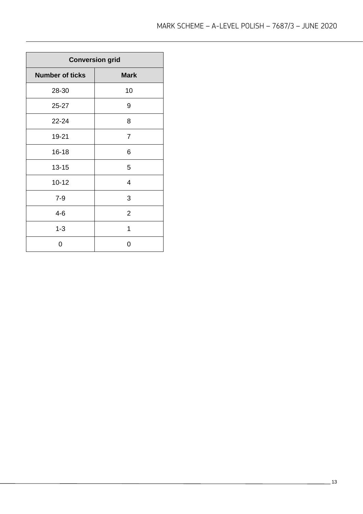| <b>Conversion grid</b> |                |
|------------------------|----------------|
| <b>Number of ticks</b> | <b>Mark</b>    |
| 28-30                  | 10             |
| $25 - 27$              | 9              |
| 22-24                  | 8              |
| 19-21                  | $\overline{7}$ |
| $16 - 18$              | 6              |
| $13 - 15$              | 5              |
| $10 - 12$              | 4              |
| $7 - 9$                | 3              |
| $4 - 6$                | $\overline{2}$ |
| $1 - 3$                | 1              |
| 0                      | 0              |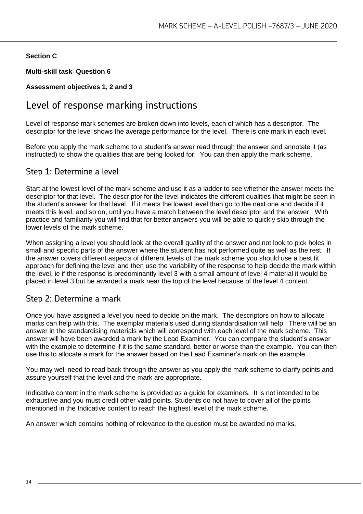# **Section C**

**Multi-skill task Question 6** 

# **Assessment objectives 1, 2 and 3**

# Level of response marking instructions

Level of response mark schemes are broken down into levels, each of which has a descriptor. The descriptor for the level shows the average performance for the level. There is one mark in each level.

Before you apply the mark scheme to a student's answer read through the answer and annotate it (as instructed) to show the qualities that are being looked for. You can then apply the mark scheme.

# Step 1: Determine a level

Start at the lowest level of the mark scheme and use it as a ladder to see whether the answer meets the descriptor for that level. The descriptor for the level indicates the different qualities that might be seen in the student's answer for that level. If it meets the lowest level then go to the next one and decide if it meets this level, and so on, until you have a match between the level descriptor and the answer. With practice and familiarity you will find that for better answers you will be able to quickly skip through the lower levels of the mark scheme.

When assigning a level you should look at the overall quality of the answer and not look to pick holes in small and specific parts of the answer where the student has not performed quite as well as the rest. If the answer covers different aspects of different levels of the mark scheme you should use a best fit approach for defining the level and then use the variability of the response to help decide the mark within the level, ie if the response is predominantly level 3 with a small amount of level 4 material it would be placed in level 3 but be awarded a mark near the top of the level because of the level 4 content.

# Step 2: Determine a mark

Once you have assigned a level you need to decide on the mark. The descriptors on how to allocate marks can help with this. The exemplar materials used during standardisation will help. There will be an answer in the standardising materials which will correspond with each level of the mark scheme. This answer will have been awarded a mark by the Lead Examiner. You can compare the student's answer with the example to determine if it is the same standard, better or worse than the example. You can then use this to allocate a mark for the answer based on the Lead Examiner's mark on the example.

You may well need to read back through the answer as you apply the mark scheme to clarify points and assure yourself that the level and the mark are appropriate.

Indicative content in the mark scheme is provided as a guide for examiners. It is not intended to be exhaustive and you must credit other valid points. Students do not have to cover all of the points mentioned in the Indicative content to reach the highest level of the mark scheme.

An answer which contains nothing of relevance to the question must be awarded no marks.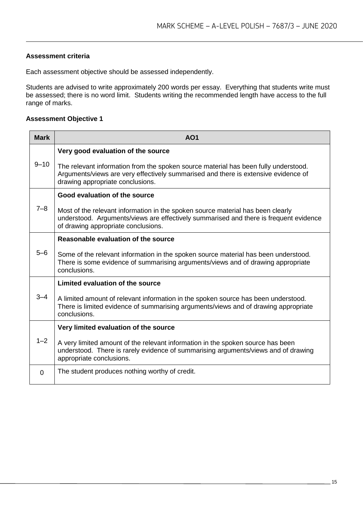# **Assessment criteria**

Each assessment objective should be assessed independently.

Students are advised to write approximately 200 words per essay. Everything that students write must be assessed; there is no word limit. Students writing the recommended length have access to the full range of marks.

# **Assessment Objective 1**

| <b>Mark</b> | <b>AO1</b>                                                                                                                                                                                                      |
|-------------|-----------------------------------------------------------------------------------------------------------------------------------------------------------------------------------------------------------------|
| $9 - 10$    | Very good evaluation of the source                                                                                                                                                                              |
|             | The relevant information from the spoken source material has been fully understood.<br>Arguments/views are very effectively summarised and there is extensive evidence of<br>drawing appropriate conclusions.   |
| $7 - 8$     | Good evaluation of the source                                                                                                                                                                                   |
|             | Most of the relevant information in the spoken source material has been clearly<br>understood. Arguments/views are effectively summarised and there is frequent evidence<br>of drawing appropriate conclusions. |
| 5–6         | Reasonable evaluation of the source                                                                                                                                                                             |
|             | Some of the relevant information in the spoken source material has been understood.<br>There is some evidence of summarising arguments/views and of drawing appropriate<br>conclusions.                         |
| 3–4         | Limited evaluation of the source                                                                                                                                                                                |
|             | A limited amount of relevant information in the spoken source has been understood.<br>There is limited evidence of summarising arguments/views and of drawing appropriate<br>conclusions.                       |
|             | Very limited evaluation of the source                                                                                                                                                                           |
| $1 - 2$     | A very limited amount of the relevant information in the spoken source has been<br>understood. There is rarely evidence of summarising arguments/views and of drawing<br>appropriate conclusions.               |
| $\Omega$    | The student produces nothing worthy of credit.                                                                                                                                                                  |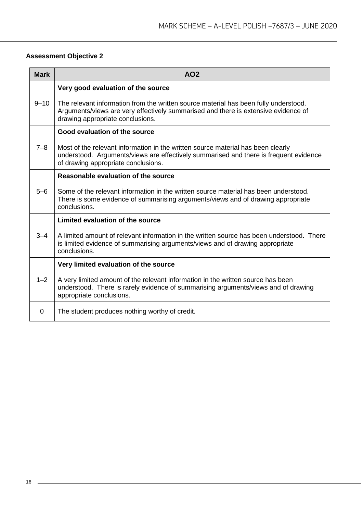# **Assessment Objective 2**

| <b>Mark</b> | AO <sub>2</sub>                                                                                                                                                                                                  |
|-------------|------------------------------------------------------------------------------------------------------------------------------------------------------------------------------------------------------------------|
|             | Very good evaluation of the source                                                                                                                                                                               |
| $9 - 10$    | The relevant information from the written source material has been fully understood.<br>Arguments/views are very effectively summarised and there is extensive evidence of<br>drawing appropriate conclusions.   |
|             | Good evaluation of the source                                                                                                                                                                                    |
| $7 - 8$     | Most of the relevant information in the written source material has been clearly<br>understood. Arguments/views are effectively summarised and there is frequent evidence<br>of drawing appropriate conclusions. |
|             | Reasonable evaluation of the source                                                                                                                                                                              |
| $5 - 6$     | Some of the relevant information in the written source material has been understood.<br>There is some evidence of summarising arguments/views and of drawing appropriate<br>conclusions.                         |
|             | Limited evaluation of the source                                                                                                                                                                                 |
| $3 - 4$     | A limited amount of relevant information in the written source has been understood. There<br>is limited evidence of summarising arguments/views and of drawing appropriate<br>conclusions.                       |
|             | Very limited evaluation of the source                                                                                                                                                                            |
| $1 - 2$     | A very limited amount of the relevant information in the written source has been<br>understood. There is rarely evidence of summarising arguments/views and of drawing<br>appropriate conclusions.               |
| 0           | The student produces nothing worthy of credit.                                                                                                                                                                   |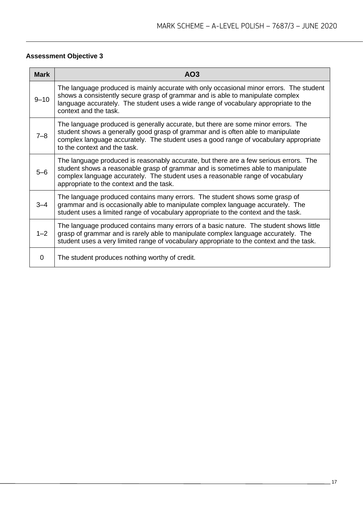# **Assessment Objective 3**

| <b>Mark</b> | AO <sub>3</sub>                                                                                                                                                                                                                                                                                        |
|-------------|--------------------------------------------------------------------------------------------------------------------------------------------------------------------------------------------------------------------------------------------------------------------------------------------------------|
| $9 - 10$    | The language produced is mainly accurate with only occasional minor errors. The student<br>shows a consistently secure grasp of grammar and is able to manipulate complex<br>language accurately. The student uses a wide range of vocabulary appropriate to the<br>context and the task.              |
| $7 - 8$     | The language produced is generally accurate, but there are some minor errors. The<br>student shows a generally good grasp of grammar and is often able to manipulate<br>complex language accurately. The student uses a good range of vocabulary appropriate<br>to the context and the task.           |
| 5-6         | The language produced is reasonably accurate, but there are a few serious errors. The<br>student shows a reasonable grasp of grammar and is sometimes able to manipulate<br>complex language accurately. The student uses a reasonable range of vocabulary<br>appropriate to the context and the task. |
| $3 - 4$     | The language produced contains many errors. The student shows some grasp of<br>grammar and is occasionally able to manipulate complex language accurately. The<br>student uses a limited range of vocabulary appropriate to the context and the task.                                                  |
| $1 - 2$     | The language produced contains many errors of a basic nature. The student shows little<br>grasp of grammar and is rarely able to manipulate complex language accurately. The<br>student uses a very limited range of vocabulary appropriate to the context and the task.                               |
| 0           | The student produces nothing worthy of credit.                                                                                                                                                                                                                                                         |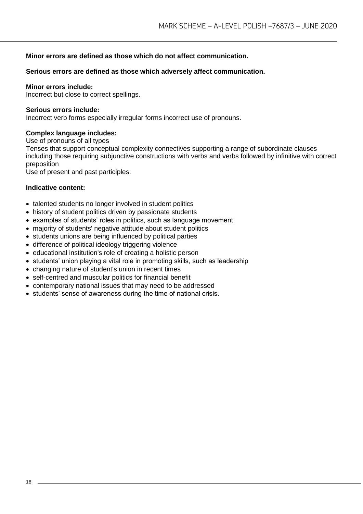# **Minor errors are defined as those which do not affect communication.**

# **Serious errors are defined as those which adversely affect communication.**

#### **Minor errors include:**

Incorrect but close to correct spellings.

#### **Serious errors include:**

Incorrect verb forms especially irregular forms incorrect use of pronouns.

#### **Complex language includes:**

Use of pronouns of all types

Tenses that support conceptual complexity connectives supporting a range of subordinate clauses including those requiring subjunctive constructions with verbs and verbs followed by infinitive with correct preposition

Use of present and past participles.

# **Indicative content:**

- talented students no longer involved in student politics
- history of student politics driven by passionate students
- examples of students' roles in politics, such as language movement
- majority of students' negative attitude about student politics
- students unions are being influenced by political parties
- difference of political ideology triggering violence
- educational institution's role of creating a holistic person
- students' union playing a vital role in promoting skills, such as leadership
- changing nature of student's union in recent times
- self-centred and muscular politics for financial benefit
- contemporary national issues that may need to be addressed
- students' sense of awareness during the time of national crisis.